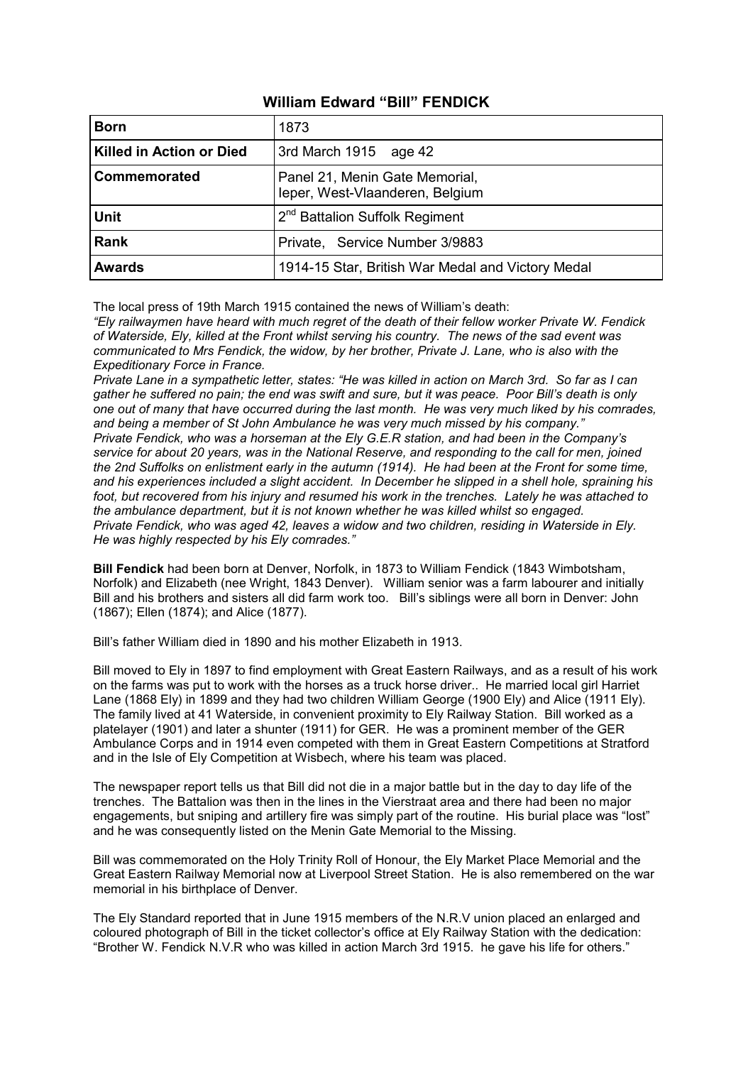# **William Edward "Bill" FENDICK**

| <b>Born</b>                     | 1873                                                              |
|---------------------------------|-------------------------------------------------------------------|
| <b>Killed in Action or Died</b> | 3rd March 1915 age 42                                             |
| Commemorated                    | Panel 21, Menin Gate Memorial,<br>leper, West-Vlaanderen, Belgium |
| <b>Unit</b>                     | 2 <sup>nd</sup> Battalion Suffolk Regiment                        |
| <b>Rank</b>                     | Private, Service Number 3/9883                                    |
| <b>Awards</b>                   | 1914-15 Star, British War Medal and Victory Medal                 |

The local press of 19th March 1915 contained the news of William's death:

*"Ely railwaymen have heard with much regret of the death of their fellow worker Private W. Fendick of Waterside, Ely, killed at the Front whilst serving his country. The news of the sad event was communicated to Mrs Fendick, the widow, by her brother, Private J. Lane, who is also with the Expeditionary Force in France.* 

*Private Lane in a sympathetic letter, states: "He was killed in action on March 3rd. So far as I can gather he suffered no pain; the end was swift and sure, but it was peace. Poor Bill's death is only one out of many that have occurred during the last month. He was very much liked by his comrades, and being a member of St John Ambulance he was very much missed by his company." Private Fendick, who was a horseman at the Ely G.E.R station, and had been in the Company's service for about 20 years, was in the National Reserve, and responding to the call for men, joined the 2nd Suffolks on enlistment early in the autumn (1914). He had been at the Front for some time, and his experiences included a slight accident. In December he slipped in a shell hole, spraining his foot, but recovered from his injury and resumed his work in the trenches. Lately he was attached to the ambulance department, but it is not known whether he was killed whilst so engaged. Private Fendick, who was aged 42, leaves a widow and two children, residing in Waterside in Ely. He was highly respected by his Ely comrades."*

**Bill Fendick** had been born at Denver, Norfolk, in 1873 to William Fendick (1843 Wimbotsham, Norfolk) and Elizabeth (nee Wright, 1843 Denver). William senior was a farm labourer and initially Bill and his brothers and sisters all did farm work too. Bill's siblings were all born in Denver: John (1867); Ellen (1874); and Alice (1877).

Bill's father William died in 1890 and his mother Elizabeth in 1913.

Bill moved to Ely in 1897 to find employment with Great Eastern Railways, and as a result of his work on the farms was put to work with the horses as a truck horse driver.. He married local girl Harriet Lane (1868 Ely) in 1899 and they had two children William George (1900 Ely) and Alice (1911 Ely). The family lived at 41 Waterside, in convenient proximity to Ely Railway Station. Bill worked as a platelayer (1901) and later a shunter (1911) for GER. He was a prominent member of the GER Ambulance Corps and in 1914 even competed with them in Great Eastern Competitions at Stratford and in the Isle of Ely Competition at Wisbech, where his team was placed.

The newspaper report tells us that Bill did not die in a major battle but in the day to day life of the trenches. The Battalion was then in the lines in the Vierstraat area and there had been no major engagements, but sniping and artillery fire was simply part of the routine. His burial place was "lost" and he was consequently listed on the Menin Gate Memorial to the Missing.

Bill was commemorated on the Holy Trinity Roll of Honour, the Ely Market Place Memorial and the Great Eastern Railway Memorial now at Liverpool Street Station. He is also remembered on the war memorial in his birthplace of Denver.

The Ely Standard reported that in June 1915 members of the N.R.V union placed an enlarged and coloured photograph of Bill in the ticket collector's office at Ely Railway Station with the dedication: "Brother W. Fendick N.V.R who was killed in action March 3rd 1915. he gave his life for others."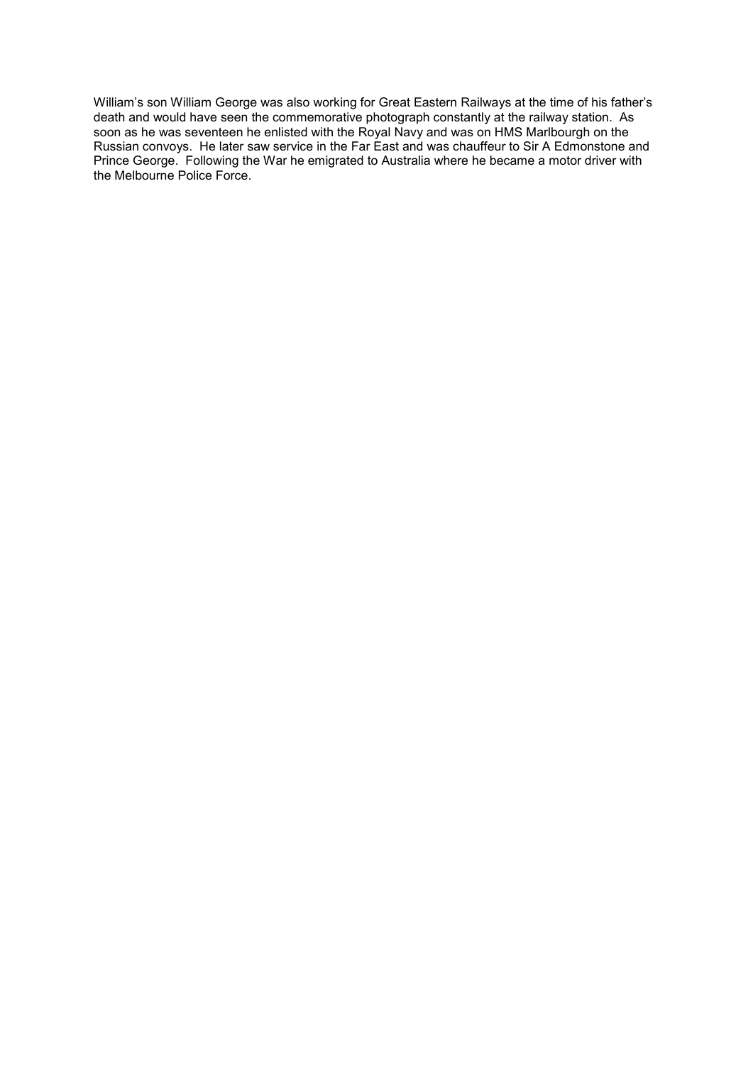William's son William George was also working for Great Eastern Railways at the time of his father's death and would have seen the commemorative photograph constantly at the railway station. As soon as he was seventeen he enlisted with the Royal Navy and was on HMS Marlbourgh on the Russian convoys. He later saw service in the Far East and was chauffeur to Sir A Edmonstone and Prince George. Following the War he emigrated to Australia where he became a motor driver with the Melbourne Police Force.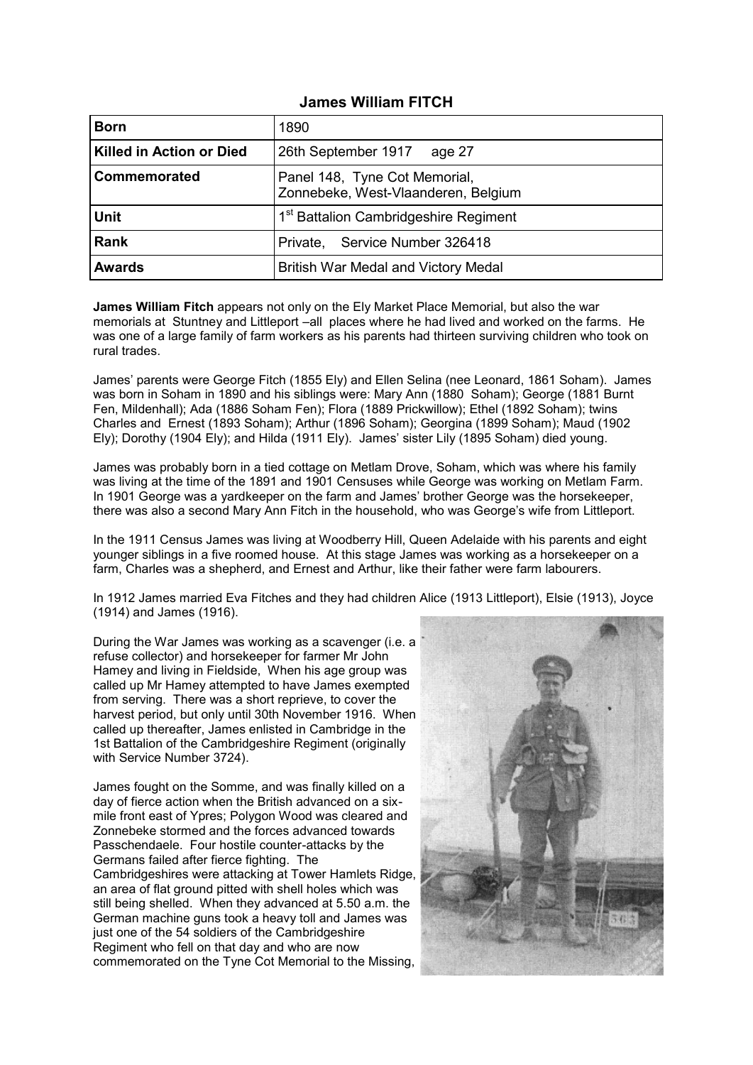## **James William FITCH**

| <b>Born</b>                     | 1890                                                                 |
|---------------------------------|----------------------------------------------------------------------|
| <b>Killed in Action or Died</b> | 26th September 1917<br>age 27                                        |
| Commemorated                    | Panel 148, Tyne Cot Memorial,<br>Zonnebeke, West-Vlaanderen, Belgium |
| <b>Unit</b>                     | 1 <sup>st</sup> Battalion Cambridgeshire Regiment                    |
| <b>Rank</b>                     | Private, Service Number 326418                                       |
| <b>Awards</b>                   | British War Medal and Victory Medal                                  |

**James William Fitch** appears not only on the Ely Market Place Memorial, but also the war memorials at Stuntney and Littleport –all places where he had lived and worked on the farms. He was one of a large family of farm workers as his parents had thirteen surviving children who took on rural trades.

James' parents were George Fitch (1855 Ely) and Ellen Selina (nee Leonard, 1861 Soham). James was born in Soham in 1890 and his siblings were: Mary Ann (1880 Soham); George (1881 Burnt Fen, Mildenhall); Ada (1886 Soham Fen); Flora (1889 Prickwillow); Ethel (1892 Soham); twins Charles and Ernest (1893 Soham); Arthur (1896 Soham); Georgina (1899 Soham); Maud (1902 Ely); Dorothy (1904 Ely); and Hilda (1911 Ely). James' sister Lily (1895 Soham) died young.

James was probably born in a tied cottage on Metlam Drove, Soham, which was where his family was living at the time of the 1891 and 1901 Censuses while George was working on Metlam Farm. In 1901 George was a yardkeeper on the farm and James' brother George was the horsekeeper, there was also a second Mary Ann Fitch in the household, who was George's wife from Littleport.

In the 1911 Census James was living at Woodberry Hill, Queen Adelaide with his parents and eight younger siblings in a five roomed house. At this stage James was working as a horsekeeper on a farm, Charles was a shepherd, and Ernest and Arthur, like their father were farm labourers.

In 1912 James married Eva Fitches and they had children Alice (1913 Littleport), Elsie (1913), Joyce (1914) and James (1916).

During the War James was working as a scavenger (i.e. a refuse collector) and horsekeeper for farmer Mr John Hamey and living in Fieldside, When his age group was called up Mr Hamey attempted to have James exempted from serving. There was a short reprieve, to cover the harvest period, but only until 30th November 1916. When called up thereafter, James enlisted in Cambridge in the 1st Battalion of the Cambridgeshire Regiment (originally with Service Number 3724).

James fought on the Somme, and was finally killed on a day of fierce action when the British advanced on a sixmile front east of Ypres; Polygon Wood was cleared and Zonnebeke stormed and the forces advanced towards Passchendaele. Four hostile counter-attacks by the Germans failed after fierce fighting. The Cambridgeshires were attacking at Tower Hamlets Ridge, an area of flat ground pitted with shell holes which was still being shelled. When they advanced at 5.50 a.m. the German machine guns took a heavy toll and James was just one of the 54 soldiers of the Cambridgeshire Regiment who fell on that day and who are now commemorated on the Tyne Cot Memorial to the Missing,

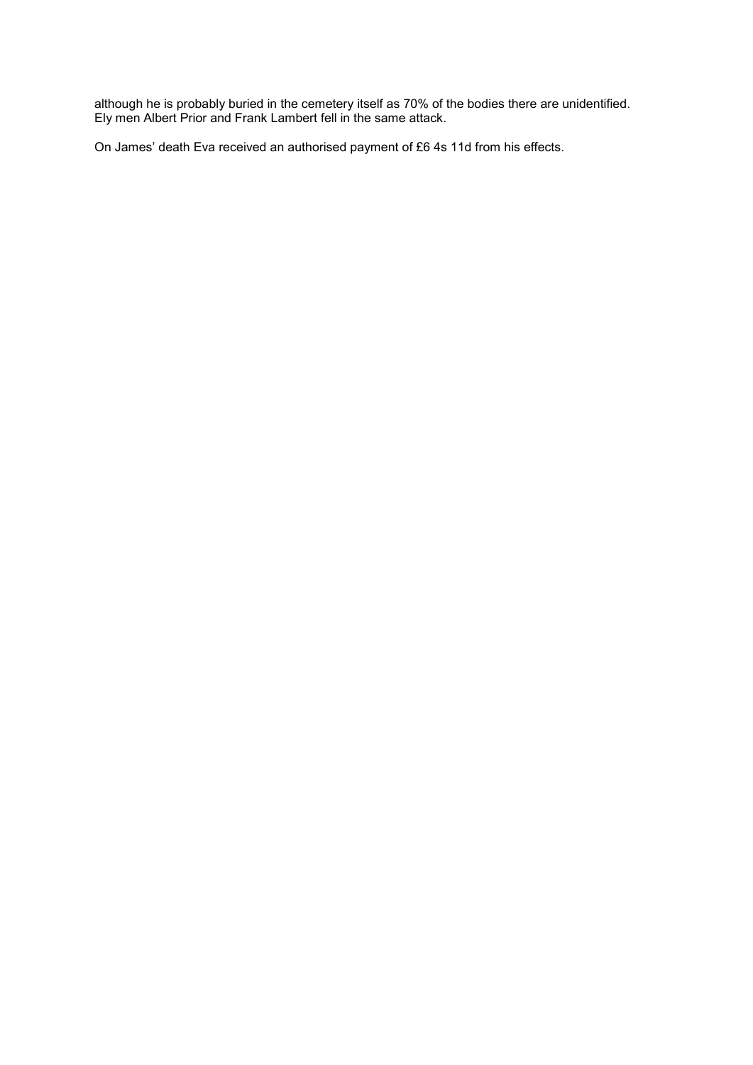although he is probably buried in the cemetery itself as 70% of the bodies there are unidentified. Ely men Albert Prior and Frank Lambert fell in the same attack.

On James' death Eva received an authorised payment of £6 4s 11d from his effects.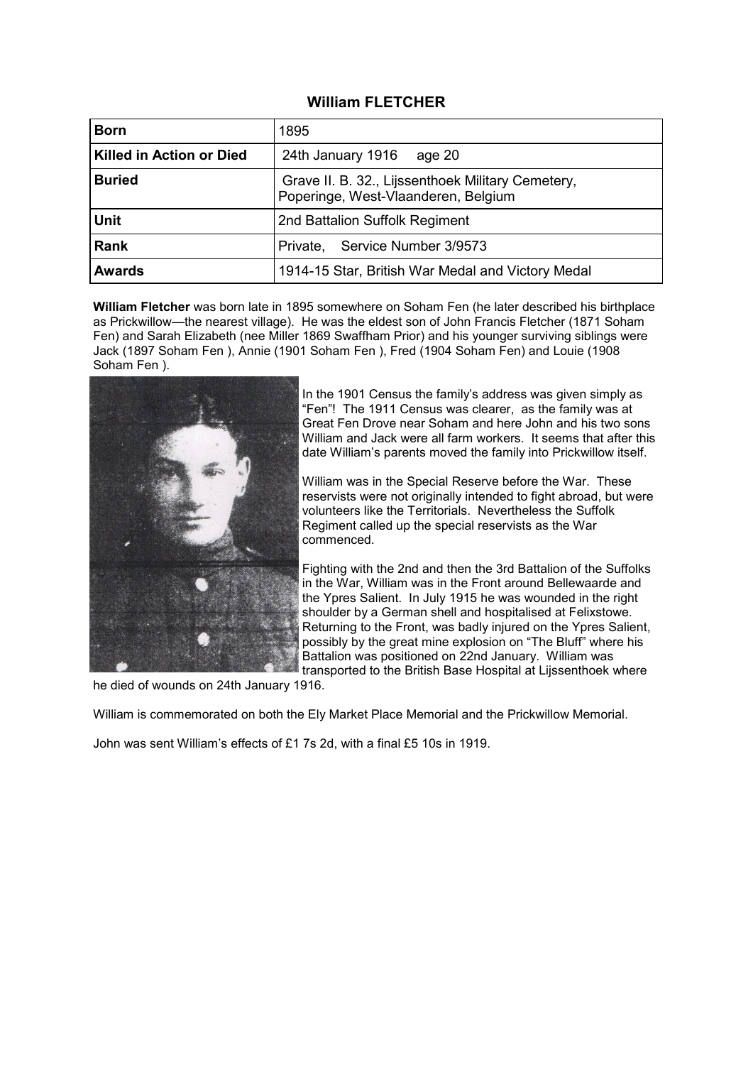## **William FLETCHER**

| <b>Born</b>              | 1895                                                                                     |
|--------------------------|------------------------------------------------------------------------------------------|
| Killed in Action or Died | 24th January 1916<br>age 20                                                              |
| <b>Buried</b>            | Grave II. B. 32., Lijssenthoek Military Cemetery,<br>Poperinge, West-Vlaanderen, Belgium |
| <b>Unit</b>              | 2nd Battalion Suffolk Regiment                                                           |
| <b>Rank</b>              | Service Number 3/9573<br>Private,                                                        |
| <b>Awards</b>            | 1914-15 Star, British War Medal and Victory Medal                                        |

**William Fletcher** was born late in 1895 somewhere on Soham Fen (he later described his birthplace as Prickwillow—the nearest village). He was the eldest son of John Francis Fletcher (1871 Soham Fen) and Sarah Elizabeth (nee Miller 1869 Swaffham Prior) and his younger surviving siblings were Jack (1897 Soham Fen ), Annie (1901 Soham Fen ), Fred (1904 Soham Fen) and Louie (1908 Soham Fen ).



In the 1901 Census the family's address was given simply as "Fen"! The 1911 Census was clearer, as the family was at Great Fen Drove near Soham and here John and his two sons William and Jack were all farm workers. It seems that after this date William's parents moved the family into Prickwillow itself.

William was in the Special Reserve before the War. These reservists were not originally intended to fight abroad, but were volunteers like the Territorials. Nevertheless the Suffolk Regiment called up the special reservists as the War commenced.

Fighting with the 2nd and then the 3rd Battalion of the Suffolks in the War, William was in the Front around Bellewaarde and the Ypres Salient. In July 1915 he was wounded in the right shoulder by a German shell and hospitalised at Felixstowe. Returning to the Front, was badly injured on the Ypres Salient, possibly by the great mine explosion on "The Bluff" where his Battalion was positioned on 22nd January. William was transported to the British Base Hospital at Lijssenthoek where

he died of wounds on 24th January 1916.

William is commemorated on both the Ely Market Place Memorial and the Prickwillow Memorial.

John was sent William's effects of £1 7s 2d, with a final £5 10s in 1919.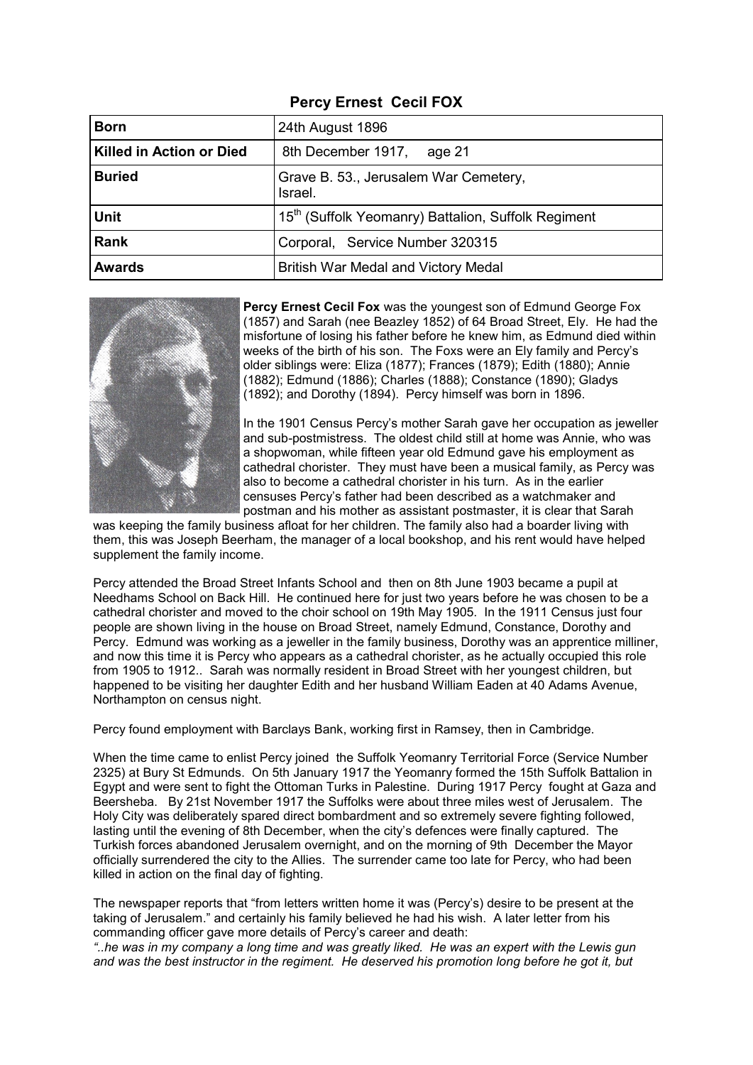# **Percy Ernest Cecil FOX**

| <b>Born</b>              | 24th August 1896                                    |
|--------------------------|-----------------------------------------------------|
| Killed in Action or Died | 8th December 1917,<br>age 21                        |
| <b>Buried</b>            | Grave B. 53., Jerusalem War Cemetery,<br>Israel.    |
| <b>Unit</b>              | 15th (Suffolk Yeomanry) Battalion, Suffolk Regiment |
| <b>Rank</b>              | Corporal, Service Number 320315                     |
| <b>Awards</b>            | British War Medal and Victory Medal                 |



**Percy Ernest Cecil Fox** was the youngest son of Edmund George Fox (1857) and Sarah (nee Beazley 1852) of 64 Broad Street, Ely. He had the misfortune of losing his father before he knew him, as Edmund died within weeks of the birth of his son. The Foxs were an Ely family and Percy's older siblings were: Eliza (1877); Frances (1879); Edith (1880); Annie (1882); Edmund (1886); Charles (1888); Constance (1890); Gladys (1892); and Dorothy (1894). Percy himself was born in 1896.

In the 1901 Census Percy's mother Sarah gave her occupation as jeweller and sub-postmistress. The oldest child still at home was Annie, who was a shopwoman, while fifteen year old Edmund gave his employment as cathedral chorister. They must have been a musical family, as Percy was also to become a cathedral chorister in his turn. As in the earlier censuses Percy's father had been described as a watchmaker and postman and his mother as assistant postmaster, it is clear that Sarah

was keeping the family business afloat for her children. The family also had a boarder living with them, this was Joseph Beerham, the manager of a local bookshop, and his rent would have helped supplement the family income.

Percy attended the Broad Street Infants School and then on 8th June 1903 became a pupil at Needhams School on Back Hill. He continued here for just two years before he was chosen to be a cathedral chorister and moved to the choir school on 19th May 1905. In the 1911 Census just four people are shown living in the house on Broad Street, namely Edmund, Constance, Dorothy and Percy. Edmund was working as a jeweller in the family business, Dorothy was an apprentice milliner, and now this time it is Percy who appears as a cathedral chorister, as he actually occupied this role from 1905 to 1912.. Sarah was normally resident in Broad Street with her youngest children, but happened to be visiting her daughter Edith and her husband William Eaden at 40 Adams Avenue, Northampton on census night.

Percy found employment with Barclays Bank, working first in Ramsey, then in Cambridge.

When the time came to enlist Percy joined the Suffolk Yeomanry Territorial Force (Service Number 2325) at Bury St Edmunds. On 5th January 1917 the Yeomanry formed the 15th Suffolk Battalion in Egypt and were sent to fight the Ottoman Turks in Palestine. During 1917 Percy fought at Gaza and Beersheba. By 21st November 1917 the Suffolks were about three miles west of Jerusalem. The Holy City was deliberately spared direct bombardment and so extremely severe fighting followed, lasting until the evening of 8th December, when the city's defences were finally captured. The Turkish forces abandoned Jerusalem overnight, and on the morning of 9th December the Mayor officially surrendered the city to the Allies. The surrender came too late for Percy, who had been killed in action on the final day of fighting.

The newspaper reports that "from letters written home it was (Percy's) desire to be present at the taking of Jerusalem." and certainly his family believed he had his wish. A later letter from his commanding officer gave more details of Percy's career and death:

*"..he was in my company a long time and was greatly liked. He was an expert with the Lewis gun and was the best instructor in the regiment. He deserved his promotion long before he got it, but*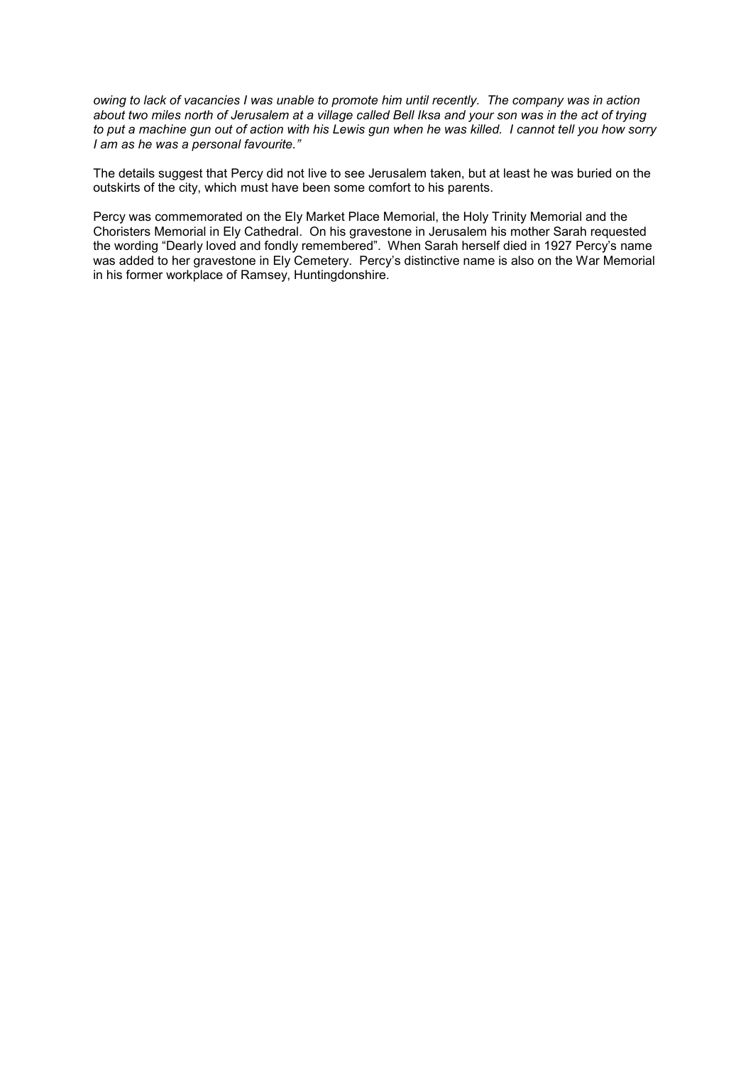*owing to lack of vacancies I was unable to promote him until recently. The company was in action about two miles north of Jerusalem at a village called Bell Iksa and your son was in the act of trying to put a machine gun out of action with his Lewis gun when he was killed. I cannot tell you how sorry I am as he was a personal favourite."*

The details suggest that Percy did not live to see Jerusalem taken, but at least he was buried on the outskirts of the city, which must have been some comfort to his parents.

Percy was commemorated on the Ely Market Place Memorial, the Holy Trinity Memorial and the Choristers Memorial in Ely Cathedral. On his gravestone in Jerusalem his mother Sarah requested the wording "Dearly loved and fondly remembered". When Sarah herself died in 1927 Percy's name was added to her gravestone in Ely Cemetery. Percy's distinctive name is also on the War Memorial in his former workplace of Ramsey, Huntingdonshire.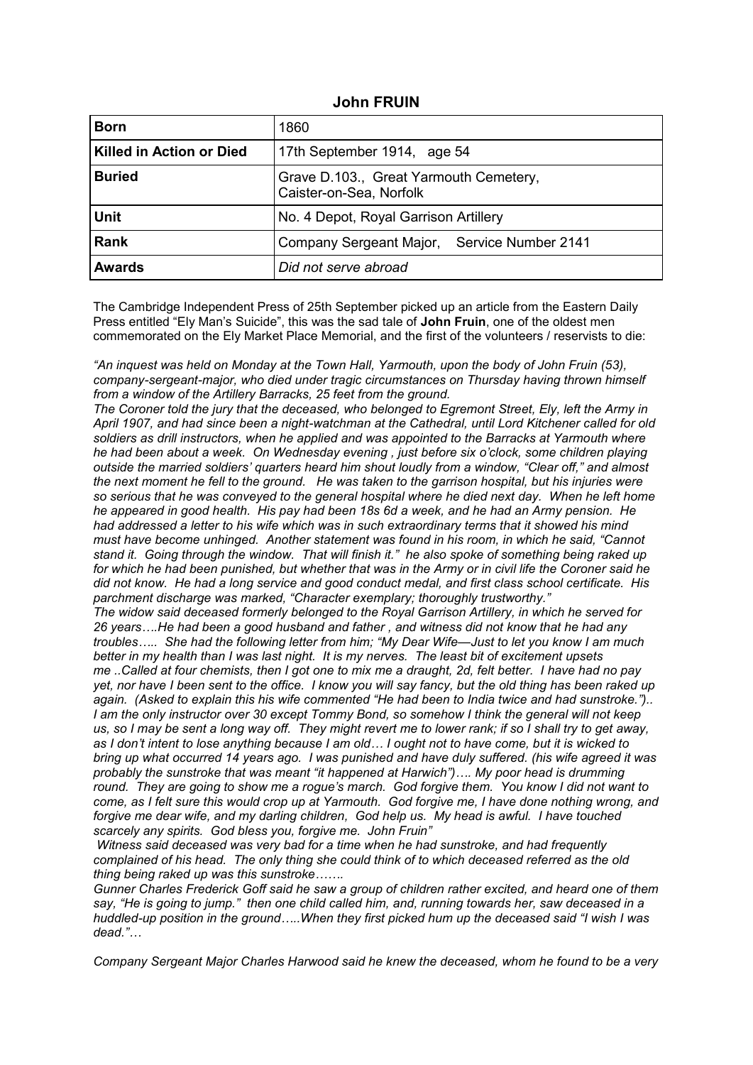#### **John FRUIN**

| <b>Born</b>                     | 1860                                                              |
|---------------------------------|-------------------------------------------------------------------|
| <b>Killed in Action or Died</b> | 17th September 1914, age 54                                       |
| <b>Buried</b>                   | Grave D.103., Great Yarmouth Cemetery,<br>Caister-on-Sea, Norfolk |
| <b>Unit</b>                     | No. 4 Depot, Royal Garrison Artillery                             |
| <b>Rank</b>                     | Company Sergeant Major, Service Number 2141                       |
| <b>Awards</b>                   | Did not serve abroad                                              |

The Cambridge Independent Press of 25th September picked up an article from the Eastern Daily Press entitled "Ely Man's Suicide", this was the sad tale of **John Fruin**, one of the oldest men commemorated on the Ely Market Place Memorial, and the first of the volunteers / reservists to die:

*"An inquest was held on Monday at the Town Hall, Yarmouth, upon the body of John Fruin (53), company-sergeant-major, who died under tragic circumstances on Thursday having thrown himself from a window of the Artillery Barracks, 25 feet from the ground.*

*The Coroner told the jury that the deceased, who belonged to Egremont Street, Ely, left the Army in April 1907, and had since been a night-watchman at the Cathedral, until Lord Kitchener called for old soldiers as drill instructors, when he applied and was appointed to the Barracks at Yarmouth where he had been about a week. On Wednesday evening , just before six o'clock, some children playing outside the married soldiers' quarters heard him shout loudly from a window, "Clear off," and almost the next moment he fell to the ground. He was taken to the garrison hospital, but his injuries were so serious that he was conveyed to the general hospital where he died next day. When he left home he appeared in good health. His pay had been 18s 6d a week, and he had an Army pension. He had addressed a letter to his wife which was in such extraordinary terms that it showed his mind must have become unhinged. Another statement was found in his room, in which he said, "Cannot stand it. Going through the window. That will finish it." he also spoke of something being raked up*  for which he had been punished, but whether that was in the Army or in civil life the Coroner said he *did not know. He had a long service and good conduct medal, and first class school certificate. His parchment discharge was marked, "Character exemplary; thoroughly trustworthy."*

*The widow said deceased formerly belonged to the Royal Garrison Artillery, in which he served for 26 years….He had been a good husband and father , and witness did not know that he had any troubles….. She had the following letter from him; "My Dear Wife—Just to let you know I am much better in my health than I was last night. It is my nerves. The least bit of excitement upsets me ..Called at four chemists, then I got one to mix me a draught, 2d, felt better. I have had no pay yet, nor have I been sent to the office. I know you will say fancy, but the old thing has been raked up again. (Asked to explain this his wife commented "He had been to India twice and had sunstroke.").. I am the only instructor over 30 except Tommy Bond, so somehow I think the general will not keep us, so I may be sent a long way off. They might revert me to lower rank; if so I shall try to get away, as I don't intent to lose anything because I am old… I ought not to have come, but it is wicked to bring up what occurred 14 years ago. I was punished and have duly suffered. (his wife agreed it was probably the sunstroke that was meant "it happened at Harwich")…. My poor head is drumming round. They are going to show me a rogue's march. God forgive them. You know I did not want to come, as I felt sure this would crop up at Yarmouth. God forgive me, I have done nothing wrong, and forgive me dear wife, and my darling children, God help us. My head is awful. I have touched scarcely any spirits. God bless you, forgive me. John Fruin"*

*Witness said deceased was very bad for a time when he had sunstroke, and had frequently complained of his head. The only thing she could think of to which deceased referred as the old thing being raked up was this sunstroke…….*

*Gunner Charles Frederick Goff said he saw a group of children rather excited, and heard one of them say, "He is going to jump." then one child called him, and, running towards her, saw deceased in a huddled-up position in the ground…..When they first picked hum up the deceased said "I wish I was dead."…*

*Company Sergeant Major Charles Harwood said he knew the deceased, whom he found to be a very*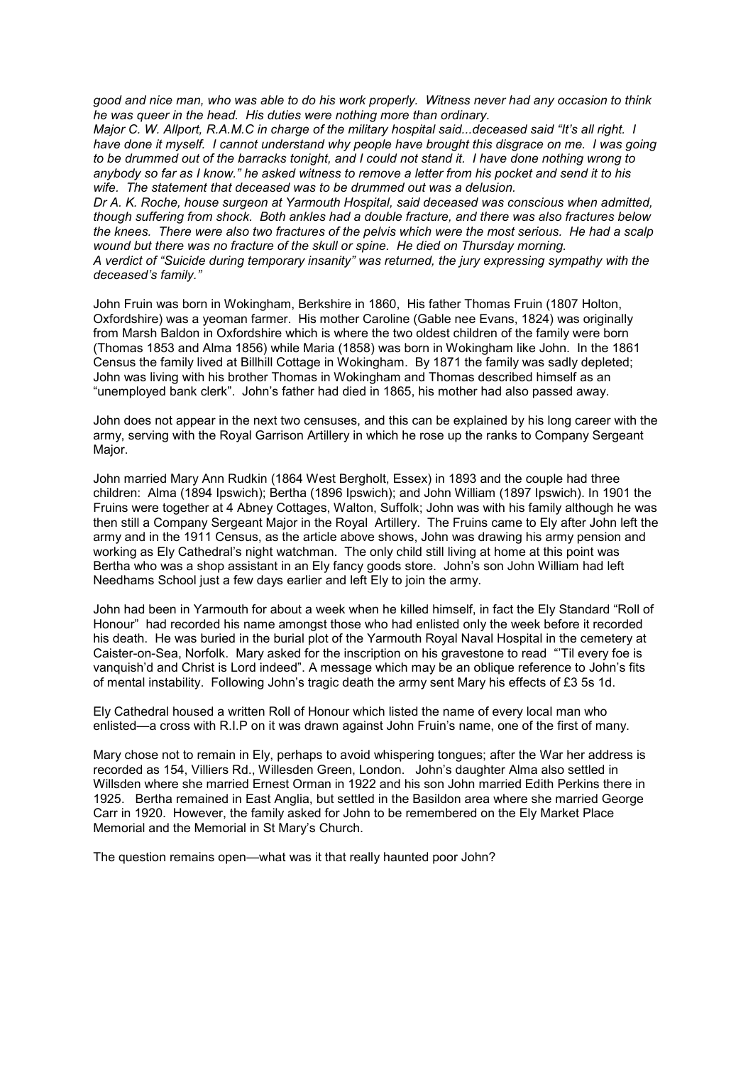*good and nice man, who was able to do his work properly. Witness never had any occasion to think he was queer in the head. His duties were nothing more than ordinary.*

*Major C. W. Allport, R.A.M.C in charge of the military hospital said...deceased said "It's all right. I*  have done it myself. I cannot understand why people have brought this disgrace on me. I was going *to be drummed out of the barracks tonight, and I could not stand it. I have done nothing wrong to anybody so far as I know." he asked witness to remove a letter from his pocket and send it to his wife. The statement that deceased was to be drummed out was a delusion.*

*Dr A. K. Roche, house surgeon at Yarmouth Hospital, said deceased was conscious when admitted, though suffering from shock. Both ankles had a double fracture, and there was also fractures below the knees. There were also two fractures of the pelvis which were the most serious. He had a scalp wound but there was no fracture of the skull or spine. He died on Thursday morning. A verdict of "Suicide during temporary insanity" was returned, the jury expressing sympathy with the deceased's family."*

John Fruin was born in Wokingham, Berkshire in 1860, His father Thomas Fruin (1807 Holton, Oxfordshire) was a yeoman farmer. His mother Caroline (Gable nee Evans, 1824) was originally from Marsh Baldon in Oxfordshire which is where the two oldest children of the family were born (Thomas 1853 and Alma 1856) while Maria (1858) was born in Wokingham like John. In the 1861 Census the family lived at Billhill Cottage in Wokingham. By 1871 the family was sadly depleted; John was living with his brother Thomas in Wokingham and Thomas described himself as an "unemployed bank clerk". John's father had died in 1865, his mother had also passed away.

John does not appear in the next two censuses, and this can be explained by his long career with the army, serving with the Royal Garrison Artillery in which he rose up the ranks to Company Sergeant Major.

John married Mary Ann Rudkin (1864 West Bergholt, Essex) in 1893 and the couple had three children: Alma (1894 Ipswich); Bertha (1896 Ipswich); and John William (1897 Ipswich). In 1901 the Fruins were together at 4 Abney Cottages, Walton, Suffolk; John was with his family although he was then still a Company Sergeant Major in the Royal Artillery. The Fruins came to Ely after John left the army and in the 1911 Census, as the article above shows, John was drawing his army pension and working as Ely Cathedral's night watchman. The only child still living at home at this point was Bertha who was a shop assistant in an Ely fancy goods store. John's son John William had left Needhams School just a few days earlier and left Ely to join the army.

John had been in Yarmouth for about a week when he killed himself, in fact the Ely Standard "Roll of Honour" had recorded his name amongst those who had enlisted only the week before it recorded his death. He was buried in the burial plot of the Yarmouth Royal Naval Hospital in the cemetery at Caister-on-Sea, Norfolk. Mary asked for the inscription on his gravestone to read "'Til every foe is vanquish'd and Christ is Lord indeed". A message which may be an oblique reference to John's fits of mental instability. Following John's tragic death the army sent Mary his effects of £3 5s 1d.

Ely Cathedral housed a written Roll of Honour which listed the name of every local man who enlisted—a cross with R.I.P on it was drawn against John Fruin's name, one of the first of many.

Mary chose not to remain in Ely, perhaps to avoid whispering tongues; after the War her address is recorded as 154, Villiers Rd., Willesden Green, London. John's daughter Alma also settled in Willsden where she married Ernest Orman in 1922 and his son John married Edith Perkins there in 1925. Bertha remained in East Anglia, but settled in the Basildon area where she married George Carr in 1920. However, the family asked for John to be remembered on the Ely Market Place Memorial and the Memorial in St Mary's Church.

The question remains open—what was it that really haunted poor John?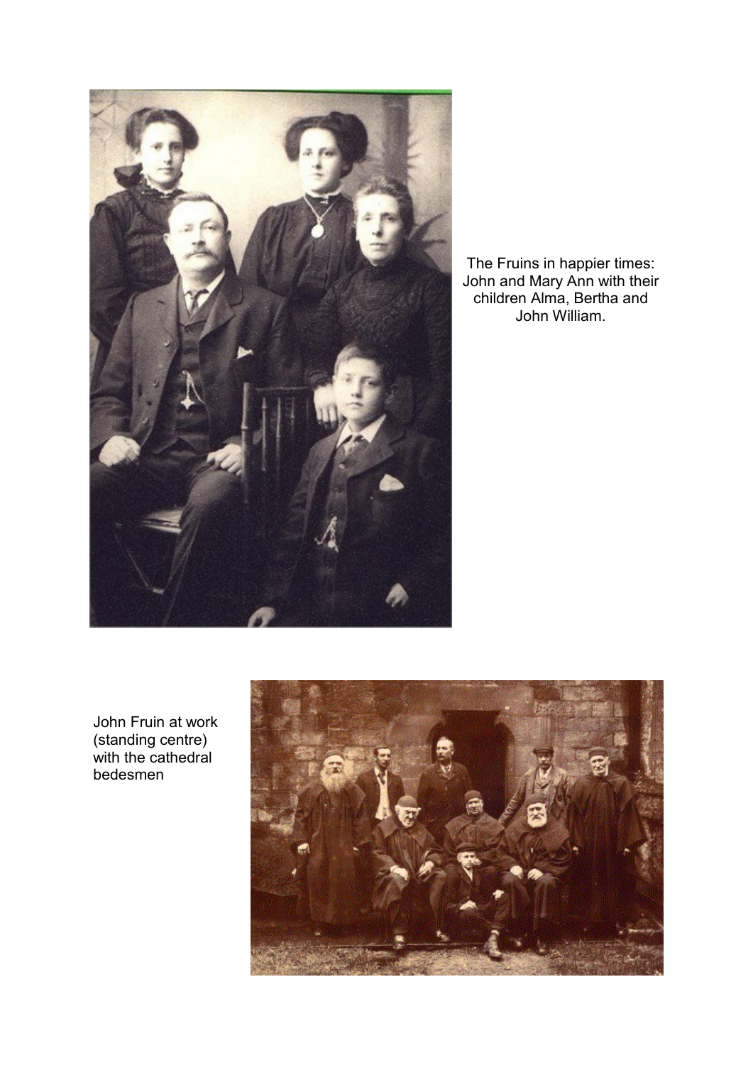

The Fruins in happier times: John and Mary Ann with their children Alma, Bertha and John William.

John Fruin at work (standing centre) with the cathedral bedesmen